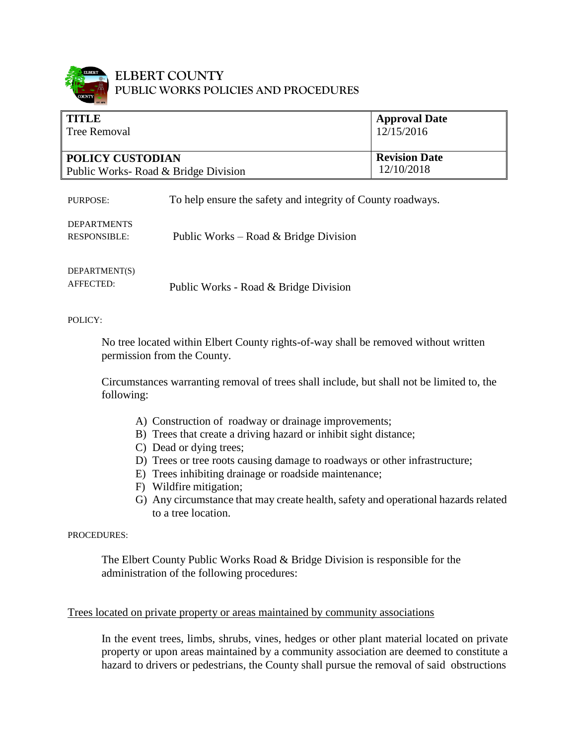

### **ELBERT COUNTY PUBLIC WORKS POLICIES AND PROCEDURES**

| <b>TITLE</b><br><b>Tree Removal</b>  | <b>Approval Date</b><br>12/15/2016 |
|--------------------------------------|------------------------------------|
| <b>POLICY CUSTODIAN</b>              | <b>Revision Date</b>               |
| Public Works- Road & Bridge Division | 12/10/2018                         |

PURPOSE: To help ensure the safety and integrity of County roadways.

#### RESPONSIBLE: Public Works – Road & Bridge Division

DEPARTMENT(S) AFFECTED:

DEPARTMENTS

Public Works - Road & Bridge Division

POLICY:

No tree located within Elbert County rights-of-way shall be removed without written permission from the County.

Circumstances warranting removal of trees shall include, but shall not be limited to, the following:

- A) Construction of roadway or drainage improvements;
- B) Trees that create a driving hazard or inhibit sight distance;
- C) Dead or dying trees;
- D) Trees or tree roots causing damage to roadways or other infrastructure;
- E) Trees inhibiting drainage or roadside maintenance;
- F) Wildfire mitigation;
- G) Any circumstance that may create health, safety and operational hazards related to a tree location.

PROCEDURES:

The Elbert County Public Works Road & Bridge Division is responsible for the administration of the following procedures:

#### Trees located on private property or areas maintained by community associations

In the event trees, limbs, shrubs, vines, hedges or other plant material located on private property or upon areas maintained by a community association are deemed to constitute a hazard to drivers or pedestrians, the County shall pursue the removal of said obstructions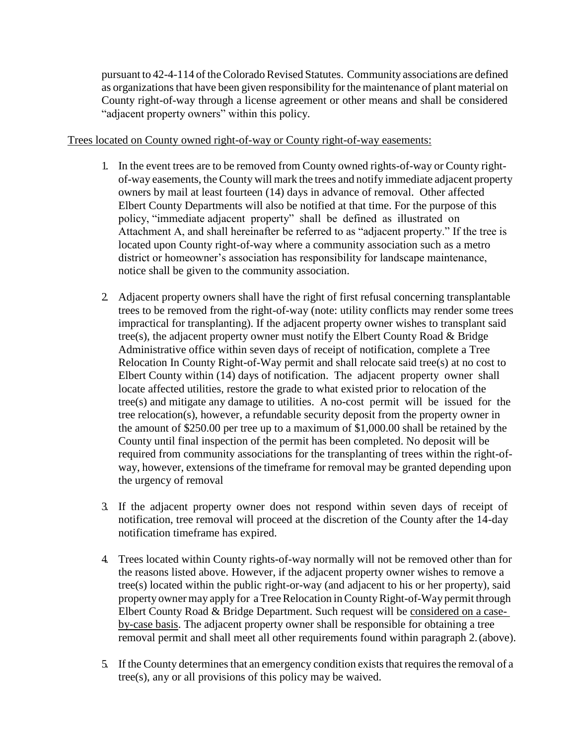pursuant to 42-4-114 of theColoradoRevised Statutes. Community associations are defined as organizations that have been given responsibility for the maintenance of plant material on County right-of-way through a license agreement or other means and shall be considered "adjacent property owners" within this policy.

#### Trees located on County owned right-of-way or County right-of-way easements:

- 1. In the event trees are to be removed from County owned rights-of-way or County rightof-way easements, the County will mark the trees and notify immediate adjacent property owners by mail at least fourteen (14) days in advance of removal. Other affected Elbert County Departments will also be notified at that time. For the purpose of this policy, "immediate adjacent property" shall be defined as illustrated on Attachment A, and shall hereinafter be referred to as "adjacent property." If the tree is located upon County right-of-way where a community association such as a metro district or homeowner's association has responsibility for landscape maintenance, notice shall be given to the community association.
- 2. Adjacent property owners shall have the right of first refusal concerning transplantable trees to be removed from the right-of-way (note: utility conflicts may render some trees impractical for transplanting). If the adjacent property owner wishes to transplant said tree(s), the adjacent property owner must notify the Elbert County Road & Bridge Administrative office within seven days of receipt of notification, complete a Tree Relocation In County Right-of-Way permit and shall relocate said tree(s) at no cost to Elbert County within (14) days of notification. The adjacent property owner shall locate affected utilities, restore the grade to what existed prior to relocation of the tree(s) and mitigate any damage to utilities. A no-cost permit will be issued for the tree relocation(s), however, a refundable security deposit from the property owner in the amount of \$250.00 per tree up to a maximum of \$1,000.00 shall be retained by the County until final inspection of the permit has been completed. No deposit will be required from community associations for the transplanting of trees within the right-ofway, however, extensions of the timeframe for removal may be granted depending upon the urgency of removal
- 3. If the adjacent property owner does not respond within seven days of receipt of notification, tree removal will proceed at the discretion of the County after the 14-day notification timeframe has expired.
- 4. Trees located within County rights-of-way normally will not be removed other than for the reasons listed above. However, if the adjacent property owner wishes to remove a tree(s) located within the public right-or-way (and adjacent to his or her property), said property owner may apply for a Tree Relocation in County Right-of-Way permit through Elbert County Road & Bridge Department. Such request will be considered on a caseby-case basis. The adjacent property owner shall be responsible for obtaining a tree removal permit and shall meet all other requirements found within paragraph 2.(above).
- 5. If the County determines that an emergency condition exists that requires the removal of a tree(s), any or all provisions of this policy may be waived.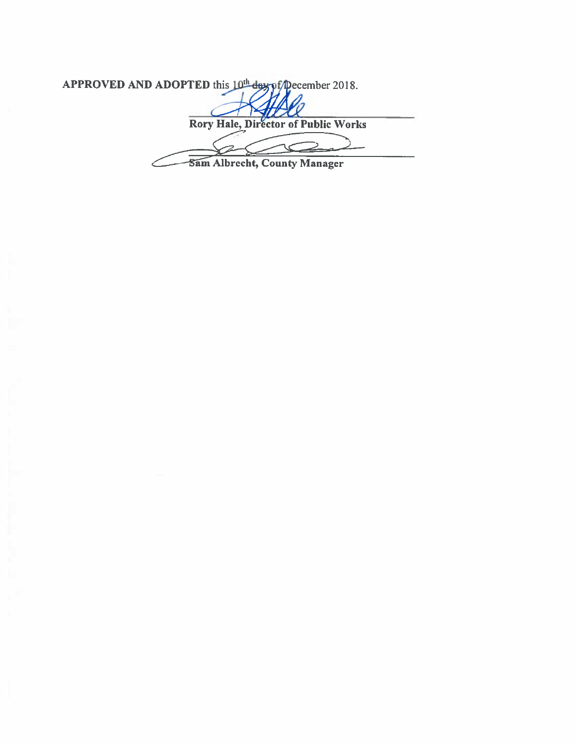APPROVED AND ADOPTED this 10th day of pecember 2018.

**Rory Hale, Director of Public Works**  $\mathrel{\mathrel{\mathop{\scriptstyle\mathop{\scriptstyle\mathop{\scriptstyle\mathop{\scriptstyle\mathop{\scriptstyle\mathop{\scriptstyle\mathop{\scriptstyle\mathop{\scriptstyle\mathop{\scriptstyle\mathop{\scriptstyle\mathop{\scriptstyle\mathop{\scriptstyle\mathop{\scriptstyle\mathop{\scriptstyle\mathop{\scriptstyle\mathop{\scriptstyle\mathop{\scriptstyle\mathop{\scriptstyle\mathop{\scriptstyle\mathop{\scriptstyle\mathop{\scriptstyle\mathop{\scriptstyle\mathop{\scriptstyle\mathop{\scriptstyle\mathop{\scriptstyle\mathop{\scriptstyle\mathop{\scriptstyle\mathop{\scriptstyle\mathop{\scriptstyle\mathop{\scriptstyle\mathop{\scriptstyle\mathop{\scriptstyle\mathop{\scriptstyle\mathop{\scriptstyle\mathop{\scriptstyle\mathop{\$ 

Sam Albrecht, County Manager